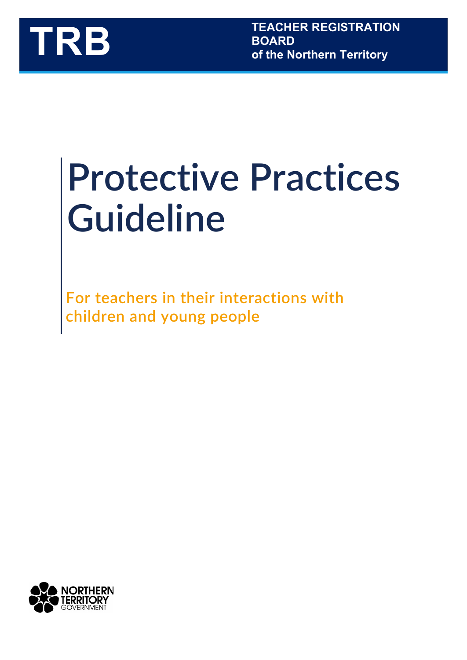

# **Protective Practices Guideline**

**For teachers in their interactions with children and young people**

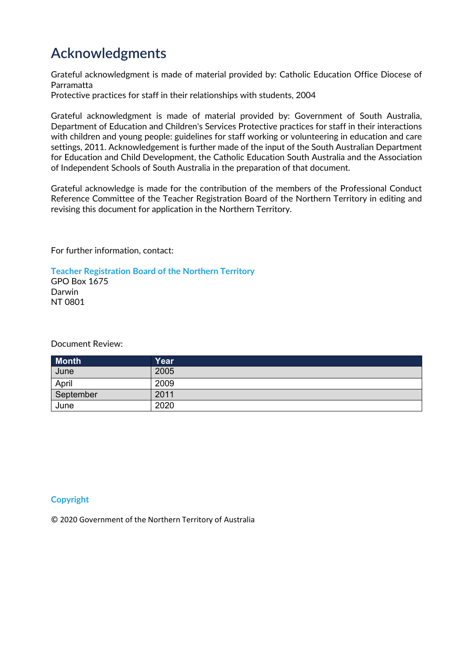## <span id="page-1-0"></span>**Acknowledgments**

Grateful acknowledgment is made of material provided by: Catholic Education Office Diocese of Parramatta

Protective practices for staff in their relationships with students, 2004

Grateful acknowledgment is made of material provided by: Government of South Australia, Department of Education and Children's Services Protective practices for staff in their interactions with children and young people: guidelines for staff working or volunteering in education and care settings, 2011. Acknowledgement is further made of the input of the South Australian Department for Education and Child Development, the Catholic Education South Australia and the Association of Independent Schools of South Australia in the preparation of that document.

Grateful acknowledge is made for the contribution of the members of the Professional Conduct Reference Committee of the Teacher Registration Board of the Northern Territory in editing and revising this document for application in the Northern Territory.

For further information, contact:

**Teacher Registration Board of the Northern Territory** GPO Box 1675 Darwin NT 0801

Document Review:

| <b>Month</b> | Yearˈ |
|--------------|-------|
| June         | 2005  |
| April        | 2009  |
| September    | 2011  |
| June         | 2020  |

#### **Copyright**

© 2020 Government of the Northern Territory of Australia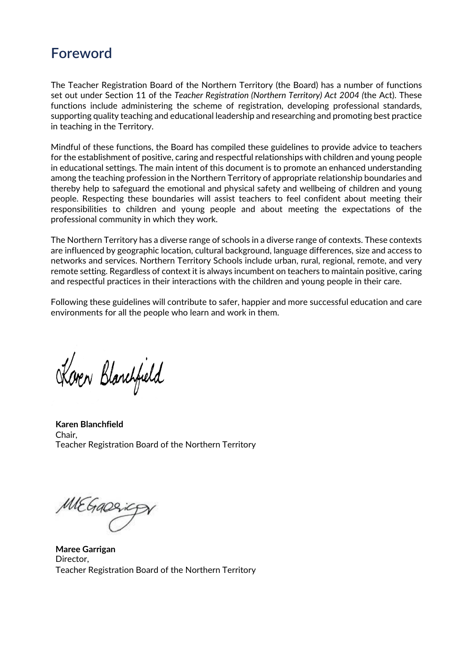#### <span id="page-2-0"></span>**Foreword**

The Teacher Registration Board of the Northern Territory (the Board) has a number of functions set out under Section 11 of the *Teacher Registration (Northern Territory) Act 2004 (*the Act). These functions include administering the scheme of registration, developing professional standards, supporting quality teaching and educational leadership and researching and promoting best practice in teaching in the Territory.

Mindful of these functions, the Board has compiled these guidelines to provide advice to teachers for the establishment of positive, caring and respectful relationships with children and young people in educational settings. The main intent of this document is to promote an enhanced understanding among the teaching profession in the Northern Territory of appropriate relationship boundaries and thereby help to safeguard the emotional and physical safety and wellbeing of children and young people. Respecting these boundaries will assist teachers to feel confident about meeting their responsibilities to children and young people and about meeting the expectations of the professional community in which they work.

The Northern Territory has a diverse range of schools in a diverse range of contexts. These contexts are influenced by geographic location, cultural background, language differences, size and access to networks and services. Northern Territory Schools include urban, rural, regional, remote, and very remote setting. Regardless of context it is always incumbent on teachers to maintain positive, caring and respectful practices in their interactions with the children and young people in their care.

Following these guidelines will contribute to safer, happier and more successful education and care environments for all the people who learn and work in them.

Koven Blanchfield

**Karen Blanchfield** Chair, Teacher Registration Board of the Northern Territory

MEGARAIC

**Maree Garrigan** Director, Teacher Registration Board of the Northern Territory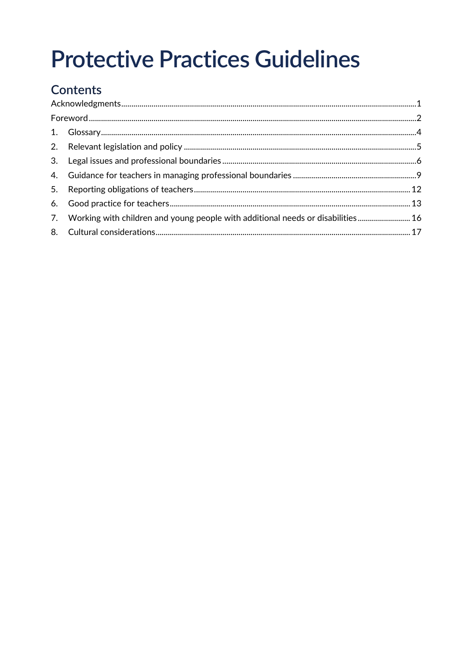## **Protective Practices Guidelines**

## Contents

| 7. Working with children and young people with additional needs or disabilities 16 |  |
|------------------------------------------------------------------------------------|--|
|                                                                                    |  |
|                                                                                    |  |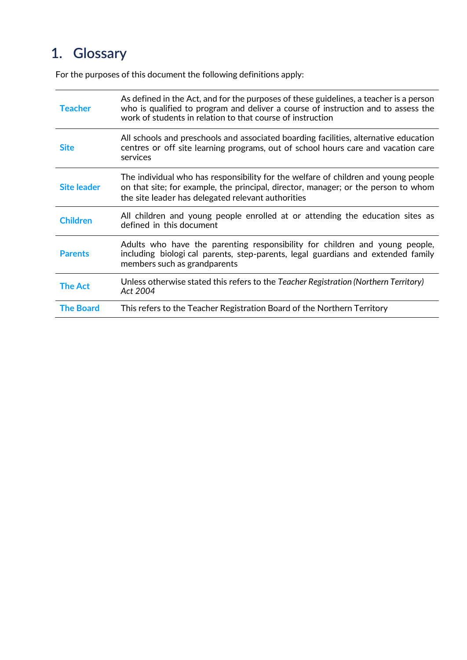## <span id="page-4-0"></span>**1. Glossary**

For the purposes of this document the following definitions apply:

| <b>Teacher</b>     | As defined in the Act, and for the purposes of these guidelines, a teacher is a person<br>who is qualified to program and deliver a course of instruction and to assess the<br>work of students in relation to that course of instruction |
|--------------------|-------------------------------------------------------------------------------------------------------------------------------------------------------------------------------------------------------------------------------------------|
| <b>Site</b>        | All schools and preschools and associated boarding facilities, alternative education<br>centres or off site learning programs, out of school hours care and vacation care<br>services                                                     |
| <b>Site leader</b> | The individual who has responsibility for the welfare of children and young people<br>on that site; for example, the principal, director, manager; or the person to whom<br>the site leader has delegated relevant authorities            |
| <b>Children</b>    | All children and young people enrolled at or attending the education sites as<br>defined in this document                                                                                                                                 |
| <b>Parents</b>     | Adults who have the parenting responsibility for children and young people,<br>including biologi cal parents, step-parents, legal guardians and extended family<br>members such as grandparents                                           |
| <b>The Act</b>     | Unless otherwise stated this refers to the Teacher Registration (Northern Territory)<br>Act 2004                                                                                                                                          |
| <b>The Board</b>   | This refers to the Teacher Registration Board of the Northern Territory                                                                                                                                                                   |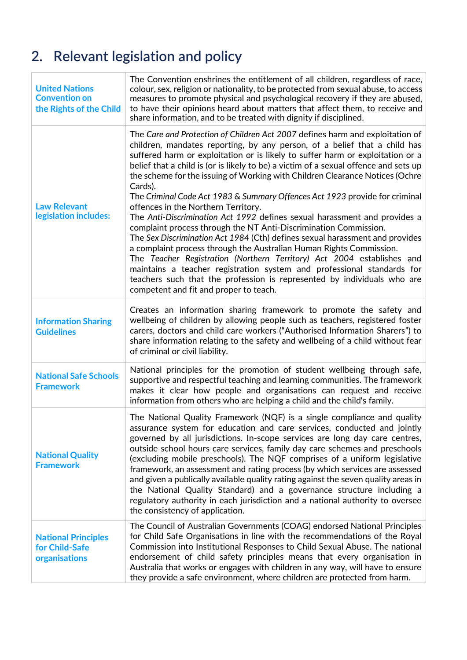## <span id="page-5-0"></span>**2. Relevant legislation and policy**

| <b>United Nations</b><br><b>Convention on</b><br>the Rights of the Child | The Convention enshrines the entitlement of all children, regardless of race,<br>colour, sex, religion or nationality, to be protected from sexual abuse, to access<br>measures to promote physical and psychological recovery if they are abused,<br>to have their opinions heard about matters that affect them, to receive and<br>share information, and to be treated with dignity if disciplined.                                                                                                                                                                                                                                                                                                                                                                                                                                                                                                                                                                                                                                                                                                                                 |
|--------------------------------------------------------------------------|----------------------------------------------------------------------------------------------------------------------------------------------------------------------------------------------------------------------------------------------------------------------------------------------------------------------------------------------------------------------------------------------------------------------------------------------------------------------------------------------------------------------------------------------------------------------------------------------------------------------------------------------------------------------------------------------------------------------------------------------------------------------------------------------------------------------------------------------------------------------------------------------------------------------------------------------------------------------------------------------------------------------------------------------------------------------------------------------------------------------------------------|
| <b>Law Relevant</b><br>legislation includes:                             | The Care and Protection of Children Act 2007 defines harm and exploitation of<br>children, mandates reporting, by any person, of a belief that a child has<br>suffered harm or exploitation or is likely to suffer harm or exploitation or a<br>belief that a child is (or is likely to be) a victim of a sexual offence and sets up<br>the scheme for the issuing of Working with Children Clearance Notices (Ochre<br>Cards).<br>The Criminal Code Act 1983 & Summary Offences Act 1923 provide for criminal<br>offences in the Northern Territory.<br>The Anti-Discrimination Act 1992 defines sexual harassment and provides a<br>complaint process through the NT Anti-Discrimination Commission.<br>The Sex Discrimination Act 1984 (Cth) defines sexual harassment and provides<br>a complaint process through the Australian Human Rights Commission.<br>The Teacher Registration (Northern Territory) Act 2004 establishes and<br>maintains a teacher registration system and professional standards for<br>teachers such that the profession is represented by individuals who are<br>competent and fit and proper to teach. |
| <b>Information Sharing</b><br><b>Guidelines</b>                          | Creates an information sharing framework to promote the safety and<br>wellbeing of children by allowing people such as teachers, registered foster<br>carers, doctors and child care workers ("Authorised Information Sharers") to<br>share information relating to the safety and wellbeing of a child without fear<br>of criminal or civil liability.                                                                                                                                                                                                                                                                                                                                                                                                                                                                                                                                                                                                                                                                                                                                                                                |
| <b>National Safe Schools</b><br><b>Framework</b>                         | National principles for the promotion of student wellbeing through safe,<br>supportive and respectful teaching and learning communities. The framework<br>makes it clear how people and organisations can request and receive<br>information from others who are helping a child and the child's family.                                                                                                                                                                                                                                                                                                                                                                                                                                                                                                                                                                                                                                                                                                                                                                                                                               |
| <b>National Quality</b><br><b>Framework</b>                              | The National Quality Framework (NQF) is a single compliance and quality<br>assurance system for education and care services, conducted and jointly<br>governed by all jurisdictions. In-scope services are long day care centres,<br>outside school hours care services, family day care schemes and preschools<br>(excluding mobile preschools). The NQF comprises of a uniform legislative<br>framework, an assessment and rating process (by which services are assessed<br>and given a publically available quality rating against the seven quality areas in<br>the National Quality Standard) and a governance structure including a<br>regulatory authority in each jurisdiction and a national authority to oversee<br>the consistency of application.                                                                                                                                                                                                                                                                                                                                                                         |
| <b>National Principles</b><br>for Child-Safe<br>organisations            | The Council of Australian Governments (COAG) endorsed National Principles<br>for Child Safe Organisations in line with the recommendations of the Royal<br>Commission into Institutional Responses to Child Sexual Abuse. The national<br>endorsement of child safety principles means that every organisation in<br>Australia that works or engages with children in any way, will have to ensure<br>they provide a safe environment, where children are protected from harm.                                                                                                                                                                                                                                                                                                                                                                                                                                                                                                                                                                                                                                                         |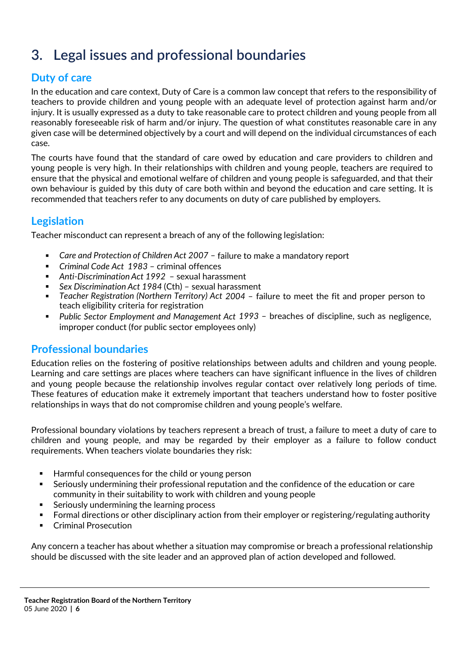## <span id="page-6-0"></span>**3. Legal issues and professional boundaries**

#### **Duty of care**

In the education and care context, Duty of Care is a common law concept that refers to the responsibility of teachers to provide children and young people with an adequate level of protection against harm and/or injury. It is usually expressed as a duty to take reasonable care to protect children and young people from all reasonably foreseeable risk of harm and/or injury. The question of what constitutes reasonable care in any given case will be determined objectively by a court and will depend on the individual circumstances of each case.

The courts have found that the standard of care owed by education and care providers to children and young people is very high. In their relationships with children and young people, teachers are required to ensure that the physical and emotional welfare of children and young people is safeguarded, and that their own behaviour is guided by this duty of care both within and beyond the education and care setting. It is recommended that teachers refer to any documents on duty of care published by employers.

#### **Legislation**

Teacher misconduct can represent a breach of any of the following legislation:

- *Care and Protection of Children Act 2007* failure to make a mandatory report
- *Criminal Code Act 1983* criminal offences
- *Anti-Discrimination Act 1992* sexual harassment
- *Sex Discrimination Act 1984* (Cth) sexual harassment
- *Teacher Registration (Northern Territory) Act 2004* failure to meet the fit and proper person to teach eligibility criteria for registration
- *Public Sector Employment and Management Act 1993* breaches of discipline, such as negligence, improper conduct (for public sector employees only)

#### **Professional boundaries**

Education relies on the fostering of positive relationships between adults and children and young people. Learning and care settings are places where teachers can have significant influence in the lives of children and young people because the relationship involves regular contact over relatively long periods of time. These features of education make it extremely important that teachers understand how to foster positive relationships in ways that do not compromise children and young people's welfare.

Professional boundary violations by teachers represent a breach of trust, a failure to meet a duty of care to children and young people, and may be regarded by their employer as a failure to follow conduct requirements. When teachers violate boundaries they risk:

- Harmful consequences for the child or young person
- Seriously undermining their professional reputation and the confidence of the education or care community in their suitability to work with children and young people
- Seriously undermining the learning process
- Formal directions or other disciplinary action from their employer or registering/regulating authority
- Criminal Prosecution

Any concern a teacher has about whether a situation may compromise or breach a professional relationship should be discussed with the site leader and an approved plan of action developed and followed.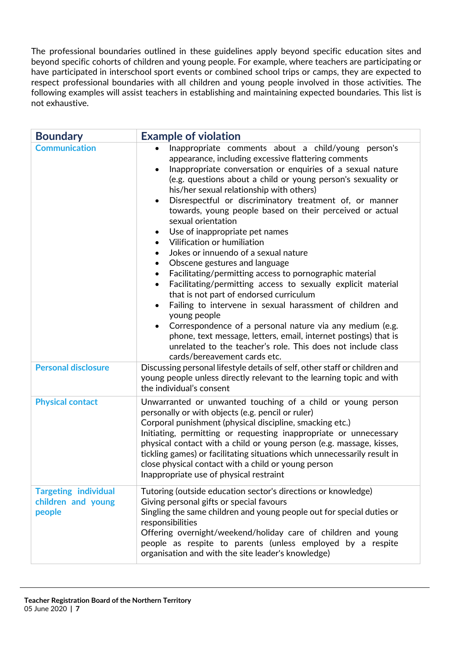The professional boundaries outlined in these guidelines apply beyond specific education sites and beyond specific cohorts of children and young people. For example, where teachers are participating or have participated in interschool sport events or combined school trips or camps, they are expected to respect professional boundaries with all children and young people involved in those activities. The following examples will assist teachers in establishing and maintaining expected boundaries. This list is not exhaustive.

| <b>Boundary</b>                                             | <b>Example of violation</b>                                                                                                                                                                                                                                                                                                                                                                                                                                                                                                                                                                                                                                                                                                                                                                                                                                                                                                                                                                                                                                                                                                                                           |
|-------------------------------------------------------------|-----------------------------------------------------------------------------------------------------------------------------------------------------------------------------------------------------------------------------------------------------------------------------------------------------------------------------------------------------------------------------------------------------------------------------------------------------------------------------------------------------------------------------------------------------------------------------------------------------------------------------------------------------------------------------------------------------------------------------------------------------------------------------------------------------------------------------------------------------------------------------------------------------------------------------------------------------------------------------------------------------------------------------------------------------------------------------------------------------------------------------------------------------------------------|
| <b>Communication</b>                                        | Inappropriate comments about a child/young person's<br>appearance, including excessive flattering comments<br>Inappropriate conversation or enquiries of a sexual nature<br>$\bullet$<br>(e.g. questions about a child or young person's sexuality or<br>his/her sexual relationship with others)<br>Disrespectful or discriminatory treatment of, or manner<br>$\bullet$<br>towards, young people based on their perceived or actual<br>sexual orientation<br>Use of inappropriate pet names<br>$\bullet$<br>Vilification or humiliation<br>$\bullet$<br>Jokes or innuendo of a sexual nature<br>$\bullet$<br>Obscene gestures and language<br>$\bullet$<br>Facilitating/permitting access to pornographic material<br>$\bullet$<br>Facilitating/permitting access to sexually explicit material<br>that is not part of endorsed curriculum<br>Failing to intervene in sexual harassment of children and<br>$\bullet$<br>young people<br>Correspondence of a personal nature via any medium (e.g.<br>phone, text message, letters, email, internet postings) that is<br>unrelated to the teacher's role. This does not include class<br>cards/bereavement cards etc. |
| <b>Personal disclosure</b>                                  | Discussing personal lifestyle details of self, other staff or children and<br>young people unless directly relevant to the learning topic and with<br>the individual's consent                                                                                                                                                                                                                                                                                                                                                                                                                                                                                                                                                                                                                                                                                                                                                                                                                                                                                                                                                                                        |
| <b>Physical contact</b>                                     | Unwarranted or unwanted touching of a child or young person<br>personally or with objects (e.g. pencil or ruler)<br>Corporal punishment (physical discipline, smacking etc.)<br>Initiating, permitting or requesting inappropriate or unnecessary<br>physical contact with a child or young person (e.g. massage, kisses,<br>tickling games) or facilitating situations which unnecessarily result in<br>close physical contact with a child or young person<br>Inappropriate use of physical restraint                                                                                                                                                                                                                                                                                                                                                                                                                                                                                                                                                                                                                                                               |
| <b>Targeting individual</b><br>children and young<br>people | Tutoring (outside education sector's directions or knowledge)<br>Giving personal gifts or special favours<br>Singling the same children and young people out for special duties or<br>responsibilities<br>Offering overnight/weekend/holiday care of children and young<br>people as respite to parents (unless employed by a respite<br>organisation and with the site leader's knowledge)                                                                                                                                                                                                                                                                                                                                                                                                                                                                                                                                                                                                                                                                                                                                                                           |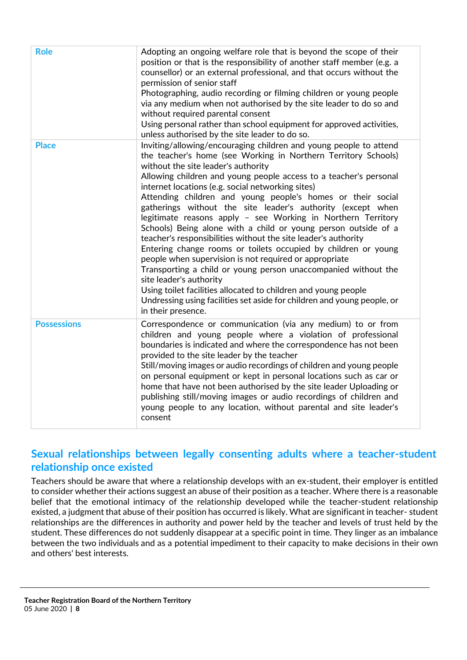| <b>Role</b>        | Adopting an ongoing welfare role that is beyond the scope of their<br>position or that is the responsibility of another staff member (e.g. a<br>counsellor) or an external professional, and that occurs without the<br>permission of senior staff<br>Photographing, audio recording or filming children or young people<br>via any medium when not authorised by the site leader to do so and<br>without required parental consent<br>Using personal rather than school equipment for approved activities,<br>unless authorised by the site leader to do so.                                                                                                                                                                                                                                                                                                                                                                                                                                                                      |
|--------------------|------------------------------------------------------------------------------------------------------------------------------------------------------------------------------------------------------------------------------------------------------------------------------------------------------------------------------------------------------------------------------------------------------------------------------------------------------------------------------------------------------------------------------------------------------------------------------------------------------------------------------------------------------------------------------------------------------------------------------------------------------------------------------------------------------------------------------------------------------------------------------------------------------------------------------------------------------------------------------------------------------------------------------------|
| <b>Place</b>       | Inviting/allowing/encouraging children and young people to attend<br>the teacher's home (see Working in Northern Territory Schools)<br>without the site leader's authority<br>Allowing children and young people access to a teacher's personal<br>internet locations (e.g. social networking sites)<br>Attending children and young people's homes or their social<br>gatherings without the site leader's authority (except when<br>legitimate reasons apply - see Working in Northern Territory<br>Schools) Being alone with a child or young person outside of a<br>teacher's responsibilities without the site leader's authority<br>Entering change rooms or toilets occupied by children or young<br>people when supervision is not required or appropriate<br>Transporting a child or young person unaccompanied without the<br>site leader's authority<br>Using toilet facilities allocated to children and young people<br>Undressing using facilities set aside for children and young people, or<br>in their presence. |
| <b>Possessions</b> | Correspondence or communication (via any medium) to or from<br>children and young people where a violation of professional<br>boundaries is indicated and where the correspondence has not been<br>provided to the site leader by the teacher<br>Still/moving images or audio recordings of children and young people<br>on personal equipment or kept in personal locations such as car or<br>home that have not been authorised by the site leader Uploading or<br>publishing still/moving images or audio recordings of children and<br>young people to any location, without parental and site leader's<br>consent                                                                                                                                                                                                                                                                                                                                                                                                             |

#### **Sexual relationships between legally consenting adults where a teacher-student relationship once existed**

Teachers should be aware that where a relationship develops with an ex-student, their employer is entitled to consider whether their actions suggest an abuse of their position as a teacher. Where there is a reasonable belief that the emotional intimacy of the relationship developed while the teacher-student relationship existed, a judgment that abuse of their position has occurred is likely. What are significant in teacher- student relationships are the differences in authority and power held by the teacher and levels of trust held by the student. These differences do not suddenly disappear at a specific point in time. They linger as an imbalance between the two individuals and as a potential impediment to their capacity to make decisions in their own and others' best interests.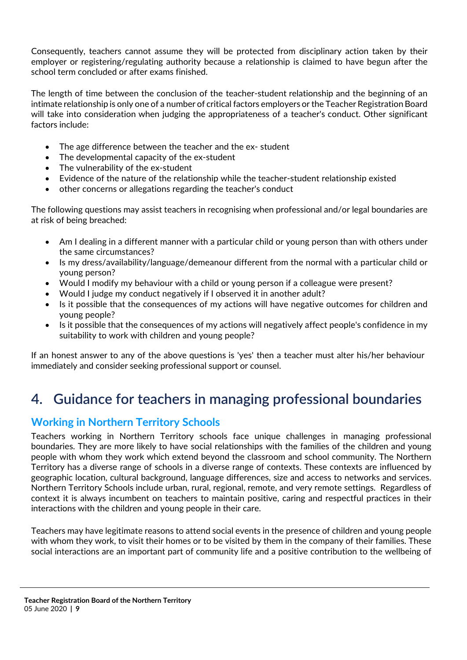Consequently, teachers cannot assume they will be protected from disciplinary action taken by their employer or registering/regulating authority because a relationship is claimed to have begun after the school term concluded or after exams finished.

The length of time between the conclusion of the teacher-student relationship and the beginning of an intimate relationship is only one of a number of critical factors employers or the Teacher Registration Board will take into consideration when judging the appropriateness of a teacher's conduct. Other significant factors include:

- The age difference between the teacher and the ex-student
- The developmental capacity of the ex-student
- The vulnerability of the ex-student
- Evidence of the nature of the relationship while the teacher-student relationship existed
- other concerns or allegations regarding the teacher's conduct

The following questions may assist teachers in recognising when professional and/or legal boundaries are at risk of being breached:

- Am I dealing in a different manner with a particular child or young person than with others under the same circumstances?
- Is my dress/availability/language/demeanour different from the normal with a particular child or young person?
- Would I modify my behaviour with a child or young person if a colleague were present?
- Would I judge my conduct negatively if I observed it in another adult?
- Is it possible that the consequences of my actions will have negative outcomes for children and young people?
- Is it possible that the consequences of my actions will negatively affect people's confidence in my suitability to work with children and young people?

If an honest answer to any of the above questions is 'yes' then a teacher must alter his/her behaviour immediately and consider seeking professional support or counsel.

## <span id="page-9-0"></span>**4. Guidance for teachers in managing professional boundaries**

#### **Working in Northern Territory Schools**

Teachers working in Northern Territory schools face unique challenges in managing professional boundaries. They are more likely to have social relationships with the families of the children and young people with whom they work which extend beyond the classroom and school community. The Northern Territory has a diverse range of schools in a diverse range of contexts. These contexts are influenced by geographic location, cultural background, language differences, size and access to networks and services. Northern Territory Schools include urban, rural, regional, remote, and very remote settings. Regardless of context it is always incumbent on teachers to maintain positive, caring and respectful practices in their interactions with the children and young people in their care.

Teachers may have legitimate reasons to attend social events in the presence of children and young people with whom they work, to visit their homes or to be visited by them in the company of their families. These social interactions are an important part of community life and a positive contribution to the wellbeing of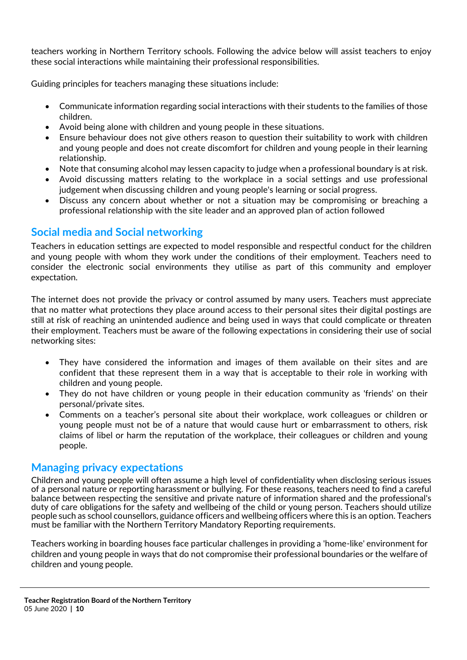teachers working in Northern Territory schools. Following the advice below will assist teachers to enjoy these social interactions while maintaining their professional responsibilities.

Guiding principles for teachers managing these situations include:

- Communicate information regarding social interactions with their students to the families of those children.
- Avoid being alone with children and young people in these situations.
- Ensure behaviour does not give others reason to question their suitability to work with children and young people and does not create discomfort for children and young people in their learning relationship.
- Note that consuming alcohol may lessen capacity to judge when a professional boundary is at risk.
- Avoid discussing matters relating to the workplace in a social settings and use professional judgement when discussing children and young people's learning or social progress.
- Discuss any concern about whether or not a situation may be compromising or breaching a professional relationship with the site leader and an approved plan of action followed

#### **Social media and Social networking**

Teachers in education settings are expected to model responsible and respectful conduct for the children and young people with whom they work under the conditions of their employment. Teachers need to consider the electronic social environments they utilise as part of this community and employer expectation.

The internet does not provide the privacy or control assumed by many users. Teachers must appreciate that no matter what protections they place around access to their personal sites their digital postings are still at risk of reaching an unintended audience and being used in ways that could complicate or threaten their employment. Teachers must be aware of the following expectations in considering their use of social networking sites:

- They have considered the information and images of them available on their sites and are confident that these represent them in a way that is acceptable to their role in working with children and young people.
- They do not have children or young people in their education community as 'friends' on their personal/private sites.
- Comments on a teacher's personal site about their workplace, work colleagues or children or young people must not be of a nature that would cause hurt or embarrassment to others, risk claims of libel or harm the reputation of the workplace, their colleagues or children and young people.

#### **Managing privacy expectations**

Children and young people will often assume a high level of confidentiality when disclosing serious issues of a personal nature or reporting harassment or bullying. For these reasons, teachers need to find a careful balance between respecting the sensitive and private nature of information shared and the professional's duty of care obligations for the safety and wellbeing of the child or young person. Teachers should utilize people such as school counsellors, guidance officers and wellbeing officers where this is an option. Teachers must be familiar with the Northern Territory Mandatory Reporting requirements.

Teachers working in boarding houses face particular challenges in providing a 'home-like' environment for children and young people in ways that do not compromise their professional boundaries or the welfare of children and young people.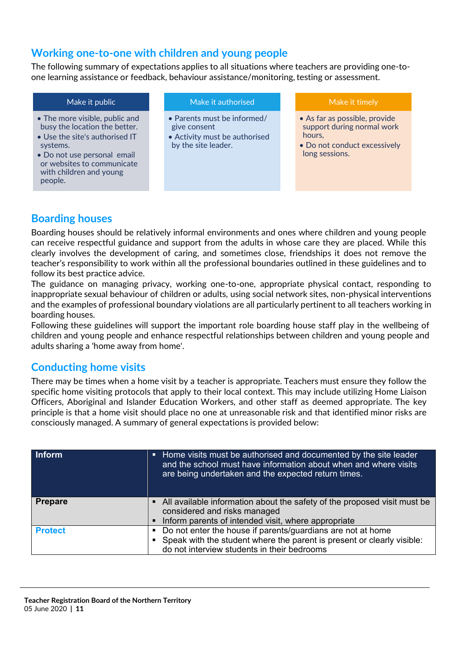#### **Working one-to-one with children and young people**

The following summary of expectations applies to all situations where teachers are providing one-toone learning assistance or feedback, behaviour assistance/monitoring, testing or assessment.

| Make it public                                                                                                                                                                                                   | Make it authorised                                                                                  | Make it timely                                                                                                          |
|------------------------------------------------------------------------------------------------------------------------------------------------------------------------------------------------------------------|-----------------------------------------------------------------------------------------------------|-------------------------------------------------------------------------------------------------------------------------|
| • The more visible, public and<br>busy the location the better.<br>• Use the site's authorised IT<br>systems.<br>• Do not use personal email<br>or websites to communicate<br>with children and young<br>people. | • Parents must be informed/<br>give consent<br>• Activity must be authorised<br>by the site leader. | • As far as possible, provide<br>support during normal work<br>hours,<br>• Do not conduct excessively<br>long sessions. |

#### **Boarding houses**

Boarding houses should be relatively informal environments and ones where children and young people can receive respectful guidance and support from the adults in whose care they are placed. While this clearly involves the development of caring, and sometimes close, friendships it does not remove the teacher's responsibility to work within all the professional boundaries outlined in these guidelines and to follow its best practice advice.

The guidance on managing privacy, working one-to-one, appropriate physical contact, responding to inappropriate sexual behaviour of children or adults, using social network sites, non-physical interventions and the examples of professional boundary violations are all particularly pertinent to all teachers working in boarding houses.

Following these guidelines will support the important role boarding house staff play in the wellbeing of children and young people and enhance respectful relationships between children and young people and adults sharing a 'home away from home'.

#### **Conducting home visits**

There may be times when a home visit by a teacher is appropriate. Teachers must ensure they follow the specific home visiting protocols that apply to their local context. This may include utilizing Home Liaison Officers, Aboriginal and Islander Education Workers, and other staff as deemed appropriate. The key principle is that a home visit should place no one at unreasonable risk and that identified minor risks are consciously managed. A summary of general expectations is provided below:

| <b>Inform</b>  | • Home visits must be authorised and documented by the site leader<br>and the school must have information about when and where visits<br>are being undertaken and the expected return times. |
|----------------|-----------------------------------------------------------------------------------------------------------------------------------------------------------------------------------------------|
| <b>Prepare</b> | • All available information about the safety of the proposed visit must be<br>considered and risks managed<br>Inform parents of intended visit, where appropriate                             |
| <b>Protect</b> | • Do not enter the house if parents/guardians are not at home<br>• Speak with the student where the parent is present or clearly visible:<br>do not interview students in their bedrooms      |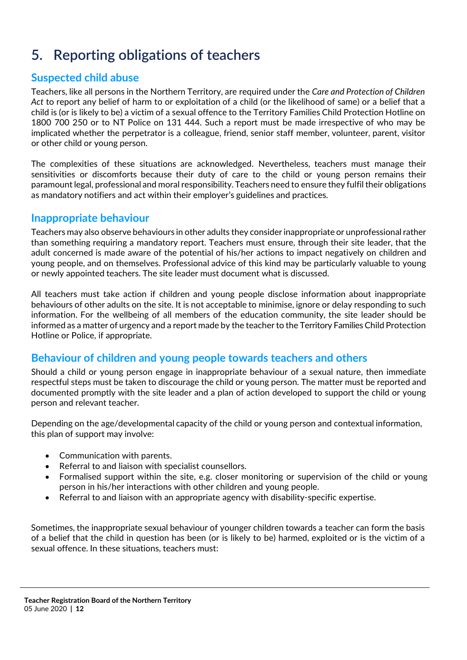## <span id="page-12-0"></span>**5. Reporting obligations of teachers**

#### **Suspected child abuse**

Teachers, like all persons in the Northern Territory, are required under the *Care and Protection of Children Act* to report any belief of harm to or exploitation of a child (or the likelihood of same) or a belief that a child is (or is likely to be) a victim of a sexual offence to the Territory Families Child Protection Hotline on 1800 700 250 or to NT Police on 131 444. Such a report must be made irrespective of who may be implicated whether the perpetrator is a colleague, friend, senior staff member, volunteer, parent, visitor or other child or young person.

The complexities of these situations are acknowledged. Nevertheless, teachers must manage their sensitivities or discomforts because their duty of care to the child or young person remains their paramount legal, professional and moral responsibility. Teachers need to ensure they fulfil their obligations as mandatory notifiers and act within their employer's guidelines and practices.

#### **Inappropriate behaviour**

Teachers may also observe behaviours in other adults they considerinappropriate or unprofessionalrather than something requiring a mandatory report. Teachers must ensure, through their site leader, that the adult concerned is made aware of the potential of his/her actions to impact negatively on children and young people, and on themselves. Professional advice of this kind may be particularly valuable to young or newly appointed teachers. The site leader must document what is discussed.

All teachers must take action if children and young people disclose information about inappropriate behaviours of other adults on the site. It is not acceptable to minimise, ignore or delay responding to such information. For the wellbeing of all members of the education community, the site leader should be informed as a matter of urgency and a report made by the teacher to the Territory Families Child Protection Hotline or Police, if appropriate.

#### **Behaviour of children and young people towards teachers and others**

Should a child or young person engage in inappropriate behaviour of a sexual nature, then immediate respectful steps must be taken to discourage the child or young person. The matter must be reported and documented promptly with the site leader and a plan of action developed to support the child or young person and relevant teacher.

Depending on the age/developmental capacity of the child or young person and contextual information, this plan of support may involve:

- Communication with parents.
- Referral to and liaison with specialist counsellors.
- Formalised support within the site, e.g. closer monitoring or supervision of the child or young person in his/her interactions with other children and young people.
- Referral to and liaison with an appropriate agency with disability-specific expertise.

Sometimes, the inappropriate sexual behaviour of younger children towards a teacher can form the basis of a belief that the child in question has been (or is likely to be) harmed, exploited or is the victim of a sexual offence. In these situations, teachers must: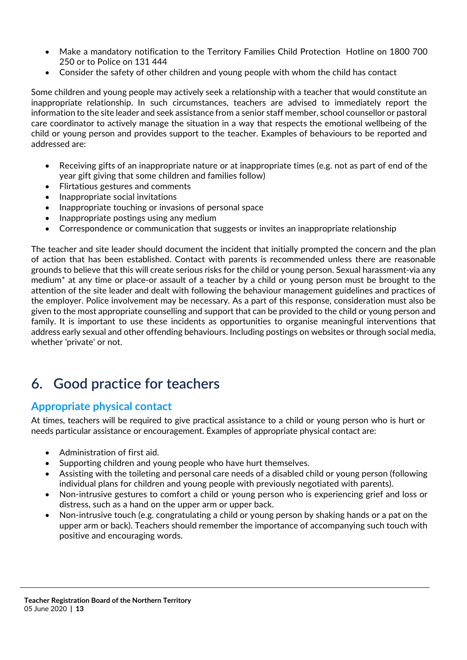- Make a mandatory notification to the Territory Families Child Protection Hotline on 1800 700 250 or to Police on 131 444
- Consider the safety of other children and young people with whom the child has contact

Some children and young people may actively seek a relationship with a teacher that would constitute an inappropriate relationship. In such circumstances, teachers are advised to immediately report the information to the site leader and seek assistance from a senior staff member, school counsellor or pastoral care coordinator to actively manage the situation in a way that respects the emotional wellbeing of the child or young person and provides support to the teacher. Examples of behaviours to be reported and addressed are:

- Receiving gifts of an inappropriate nature or at inappropriate times (e.g. not as part of end of the year gift giving that some children and families follow)
- Flirtatious gestures and comments
- Inappropriate social invitations
- Inappropriate touching or invasions of personal space
- Inappropriate postings using any medium
- Correspondence or communication that suggests or invites an inappropriate relationship

The teacher and site leader should document the incident that initially prompted the concern and the plan of action that has been established. Contact with parents is recommended unless there are reasonable grounds to believe that this will create serious risks for the child or young person. Sexual harassment-via any medium\* at any time or place-or assault of a teacher by a child or young person must be brought to the attention of the site leader and dealt with following the behaviour management guidelines and practices of the employer. Police involvement may be necessary. As a part of this response, consideration must also be given to the most appropriate counselling and support that can be provided to the child or young person and family. It is important to use these incidents as opportunities to organise meaningful interventions that address early sexual and other offending behaviours. Including postings on websites or through social media, whether 'private' or not.

## <span id="page-13-0"></span>**6. Good practice for teachers**

#### **Appropriate physical contact**

At times, teachers will be required to give practical assistance to a child or young person who is hurt or needs particular assistance or encouragement. Examples of appropriate physical contact are:

- Administration of first aid.
- Supporting children and young people who have hurt themselves.
- Assisting with the toileting and personal care needs of a disabled child or young person (following individual plans for children and young people with previously negotiated with parents).
- Non-intrusive gestures to comfort a child or young person who is experiencing grief and loss or distress, such as a hand on the upper arm or upper back.
- Non-intrusive touch (e.g. congratulating a child or young person by shaking hands or a pat on the upper arm or back). Teachers should remember the importance of accompanying such touch with positive and encouraging words.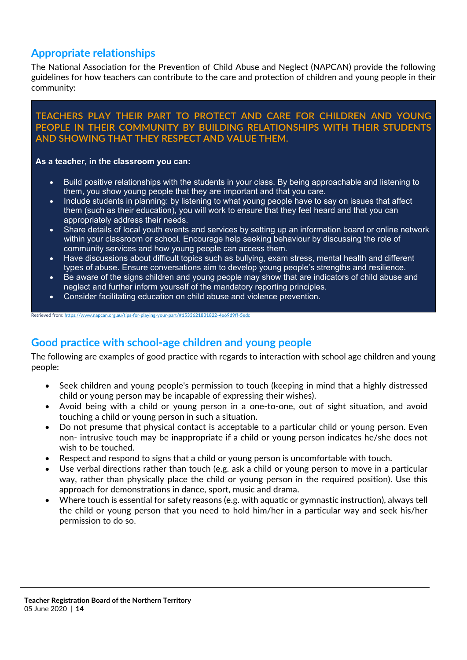#### **Appropriate relationships**

The National Association for the Prevention of Child Abuse and Neglect (NAPCAN) provide the following guidelines for how teachers can contribute to the care and protection of children and young people in their community:

#### **TEACHERS PLAY THEIR PART TO PROTECT AND CARE FOR CHILDREN AND YOUNG PEOPLE IN THEIR COMMUNITY BY BUILDING RELATIONSHIPS WITH THEIR STUDENTS AND SHOWING THAT THEY RESPECT AND VALUE THEM.**

#### **As a teacher, in the classroom you can:**

Retrieved from: https://www.napcan.org.au/tips-for-playing-your-part/#1533621831

- Build positive relationships with the students in your class. By being approachable and listening to them, you show young people that they are important and that you care.
- Include students in planning: by listening to what young people have to say on issues that affect them (such as their education), you will work to ensure that they feel heard and that you can appropriately address their needs.
- Share details of local youth events and services by setting up an information board or online network within your classroom or school. Encourage help seeking behaviour by discussing the role of community services and how young people can access them.
- Have discussions about difficult topics such as bullying, exam stress, mental health and different types of abuse. Ensure conversations aim to develop young people's strengths and resilience.
- Be aware of the signs children and young people may show that are indicators of child abuse and neglect and further inform yourself of the mandatory reporting principles.
- Consider facilitating education on child abuse and violence prevention.

#### **Good practice with school-age children and young people**

The following are examples of good practice with regards to interaction with school age children and young people:

- Seek children and young people's permission to touch (keeping in mind that a highly distressed child or young person may be incapable of expressing their wishes).
- Avoid being with a child or young person in a one-to-one, out of sight situation, and avoid touching a child or young person in such a situation.
- Do not presume that physical contact is acceptable to a particular child or young person. Even non- intrusive touch may be inappropriate if a child or young person indicates he/she does not wish to be touched.
- Respect and respond to signs that a child or young person is uncomfortable with touch.
- Use verbal directions rather than touch (e.g. ask a child or young person to move in a particular way, rather than physically place the child or young person in the required position). Use this approach for demonstrations in dance, sport, music and drama.
- Where touch is essential for safety reasons (e.g. with aquatic or gymnastic instruction), always tell the child or young person that you need to hold him/her in a particular way and seek his/her permission to do so.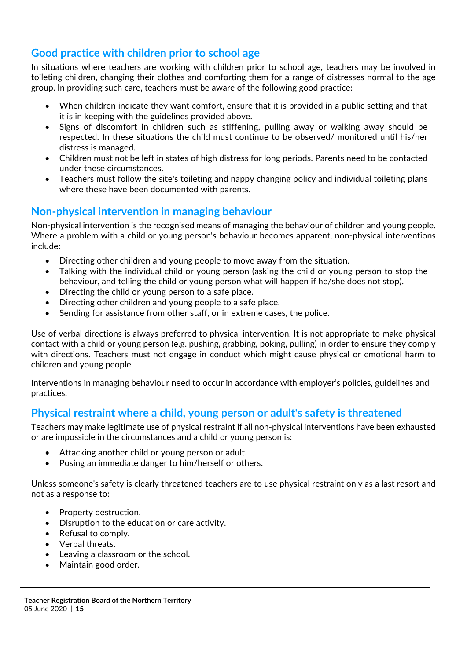#### **Good practice with children prior to school age**

In situations where teachers are working with children prior to school age, teachers may be involved in toileting children, changing their clothes and comforting them for a range of distresses normal to the age group. In providing such care, teachers must be aware of the following good practice:

- When children indicate they want comfort, ensure that it is provided in a public setting and that it is in keeping with the guidelines provided above.
- Signs of discomfort in children such as stiffening, pulling away or walking away should be respected. In these situations the child must continue to be observed/ monitored until his/her distress is managed.
- Children must not be left in states of high distress for long periods. Parents need to be contacted under these circumstances.
- Teachers must follow the site's toileting and nappy changing policy and individual toileting plans where these have been documented with parents.

#### **Non-physical intervention in managing behaviour**

Non-physical intervention is the recognised means of managing the behaviour of children and young people. Where a problem with a child or young person's behaviour becomes apparent, non-physical interventions include:

- Directing other children and young people to move away from the situation.
- Talking with the individual child or young person (asking the child or young person to stop the behaviour, and telling the child or young person what will happen if he/she does not stop).
- Directing the child or young person to a safe place.
- Directing other children and young people to a safe place.
- Sending for assistance from other staff, or in extreme cases, the police.

Use of verbal directions is always preferred to physical intervention. It is not appropriate to make physical contact with a child or young person (e.g. pushing, grabbing, poking, pulling) in order to ensure they comply with directions. Teachers must not engage in conduct which might cause physical or emotional harm to children and young people.

Interventions in managing behaviour need to occur in accordance with employer's policies, guidelines and practices.

#### **Physical restraint where a child, young person or adult's safety is threatened**

Teachers may make legitimate use of physical restraint if all non-physical interventions have been exhausted or are impossible in the circumstances and a child or young person is:

- Attacking another child or young person or adult.
- Posing an immediate danger to him/herself or others.

Unless someone's safety is clearly threatened teachers are to use physical restraint only as a last resort and not as a response to:

- Property destruction.
- Disruption to the education or care activity.
- Refusal to comply.
- Verbal threats.
- Leaving a classroom or the school.
- Maintain good order.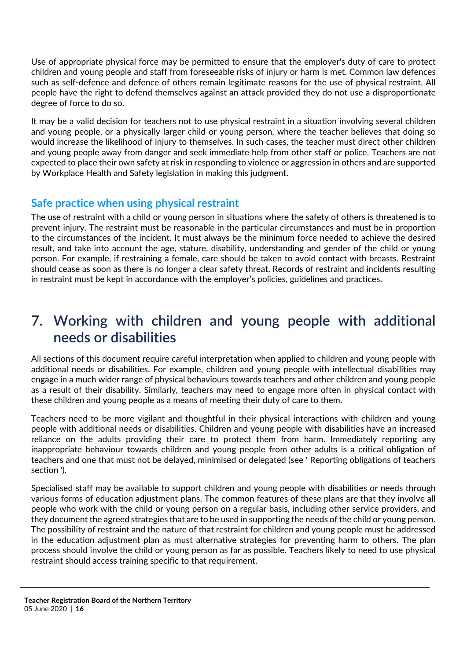Use of appropriate physical force may be permitted to ensure that the employer's duty of care to protect children and young people and staff from foreseeable risks of injury or harm is met. Common law defences such as self-defence and defence of others remain legitimate reasons for the use of physical restraint. All people have the right to defend themselves against an attack provided they do not use a disproportionate degree of force to do so.

It may be a valid decision for teachers not to use physical restraint in a situation involving several children and young people, or a physically larger child or young person, where the teacher believes that doing so would increase the likelihood of injury to themselves. In such cases, the teacher must direct other children and young people away from danger and seek immediate help from other staff or police. Teachers are not expected to place their own safety at risk in responding to violence or aggression in others and are supported by Workplace Health and Safety legislation in making this judgment.

#### **Safe practice when using physical restraint**

The use of restraint with a child or young person in situations where the safety of others is threatened is to prevent injury. The restraint must be reasonable in the particular circumstances and must be in proportion to the circumstances of the incident. It must always be the minimum force needed to achieve the desired result, and take into account the age, stature, disability, understanding and gender of the child or young person. For example, if restraining a female, care should be taken to avoid contact with breasts. Restraint should cease as soon as there is no longer a clear safety threat. Records of restraint and incidents resulting in restraint must be kept in accordance with the employer's policies, guidelines and practices.

### <span id="page-16-0"></span>**7. Working with children and young people with additional needs or disabilities**

All sections of this document require careful interpretation when applied to children and young people with additional needs or disabilities. For example, children and young people with intellectual disabilities may engage in a much wider range of physical behaviours towards teachers and other children and young people as a result of their disability. Similarly, teachers may need to engage more often in physical contact with these children and young people as a means of meeting their duty of care to them.

Teachers need to be more vigilant and thoughtful in their physical interactions with children and young people with additional needs or disabilities. Children and young people with disabilities have an increased reliance on the adults providing their care to protect them from harm. Immediately reporting any inappropriate behaviour towards children and young people from other adults is a critical obligation of teachers and one that must not be delayed, minimised or delegated (see ' Reporting obligations of teachers section ').

Specialised staff may be available to support children and young people with disabilities or needs through various forms of education adjustment plans. The common features of these plans are that they involve all people who work with the child or young person on a regular basis, including other service providers, and they document the agreed strategies that are to be used in supporting the needs of the child or young person. The possibility of restraint and the nature of that restraint for children and young people must be addressed in the education adjustment plan as must alternative strategies for preventing harm to others. The plan process should involve the child or young person as far as possible. Teachers likely to need to use physical restraint should access training specific to that requirement.

**Teacher Registration Board of the Northern Territory**  05 June 2020 **| 16**